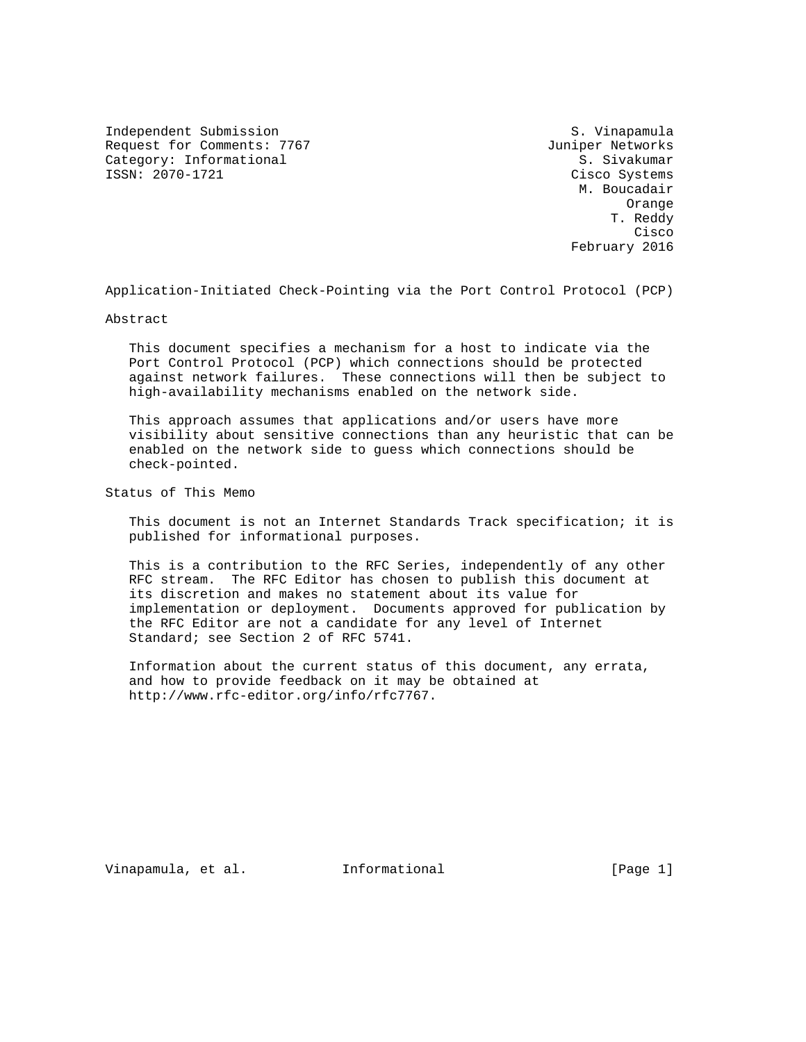Independent Submission S. Vinapamula Request for Comments: 7767 Juniper Networks Category: Informational  $\overline{S}$ . Sivakumar ISSN: 2070-1721 Cisco Systems

 M. Boucadair Orange T. Reddy **Cisco de la contrata de la contrata de la contrata de la contrata de la contrata de la contrata de la contrat** February 2016

Application-Initiated Check-Pointing via the Port Control Protocol (PCP)

Abstract

 This document specifies a mechanism for a host to indicate via the Port Control Protocol (PCP) which connections should be protected against network failures. These connections will then be subject to high-availability mechanisms enabled on the network side.

 This approach assumes that applications and/or users have more visibility about sensitive connections than any heuristic that can be enabled on the network side to guess which connections should be check-pointed.

Status of This Memo

 This document is not an Internet Standards Track specification; it is published for informational purposes.

 This is a contribution to the RFC Series, independently of any other RFC stream. The RFC Editor has chosen to publish this document at its discretion and makes no statement about its value for implementation or deployment. Documents approved for publication by the RFC Editor are not a candidate for any level of Internet Standard; see Section 2 of RFC 5741.

 Information about the current status of this document, any errata, and how to provide feedback on it may be obtained at http://www.rfc-editor.org/info/rfc7767.

Vinapamula, et al. Informational [Page 1]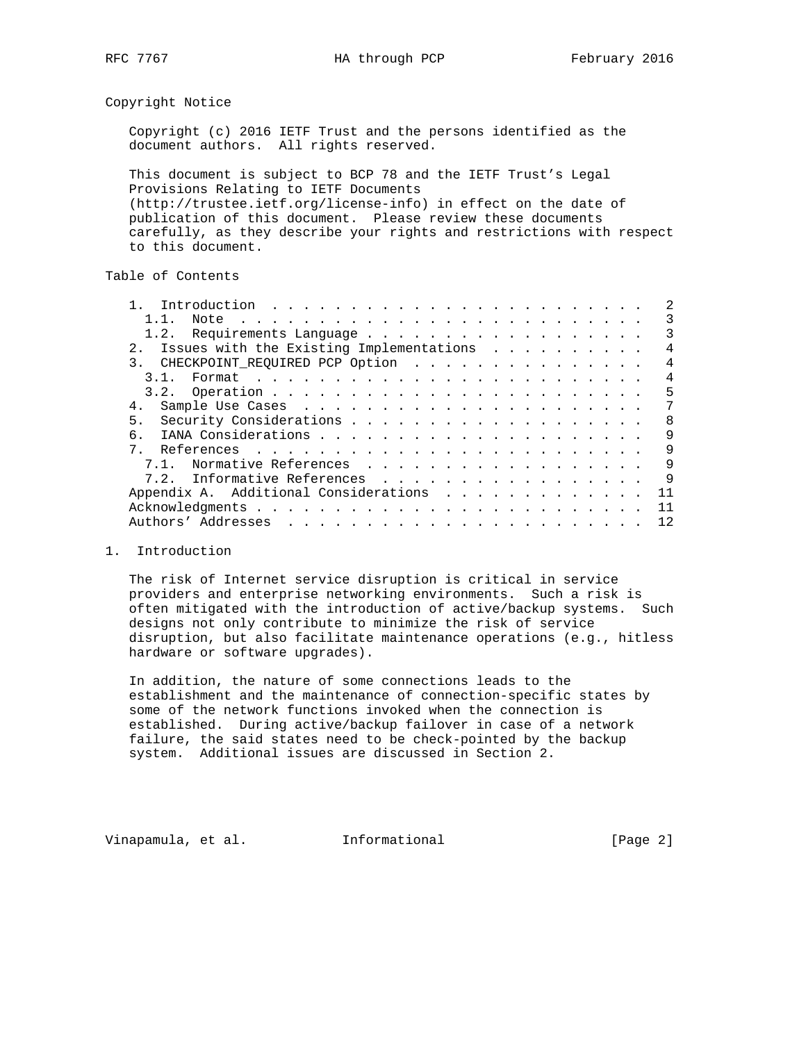Copyright Notice

 Copyright (c) 2016 IETF Trust and the persons identified as the document authors. All rights reserved.

 This document is subject to BCP 78 and the IETF Trust's Legal Provisions Relating to IETF Documents (http://trustee.ietf.org/license-info) in effect on the date of publication of this document. Please review these documents carefully, as they describe your rights and restrictions with respect to this document.

# Table of Contents

|                | 11                                       |  |  |  |  |  |  | 3              |
|----------------|------------------------------------------|--|--|--|--|--|--|----------------|
|                |                                          |  |  |  |  |  |  | 3              |
| 2.1            | Issues with the Existing Implementations |  |  |  |  |  |  | 4              |
|                | 3. CHECKPOINT_REQUIRED PCP Option        |  |  |  |  |  |  | $\overline{4}$ |
|                | 3 1                                      |  |  |  |  |  |  | 4              |
|                |                                          |  |  |  |  |  |  | 5              |
| 4.             |                                          |  |  |  |  |  |  |                |
| 5 <sub>1</sub> |                                          |  |  |  |  |  |  | 8              |
|                |                                          |  |  |  |  |  |  | 9              |
|                |                                          |  |  |  |  |  |  | 9              |
|                | 7.1. Normative References                |  |  |  |  |  |  | 9              |
|                | 7.2. Informative References              |  |  |  |  |  |  | 9              |
|                | Appendix A. Additional Considerations    |  |  |  |  |  |  | 11             |
|                |                                          |  |  |  |  |  |  | 11             |
|                |                                          |  |  |  |  |  |  | 12             |

### 1. Introduction

 The risk of Internet service disruption is critical in service providers and enterprise networking environments. Such a risk is often mitigated with the introduction of active/backup systems. Such designs not only contribute to minimize the risk of service disruption, but also facilitate maintenance operations (e.g., hitless hardware or software upgrades).

 In addition, the nature of some connections leads to the establishment and the maintenance of connection-specific states by some of the network functions invoked when the connection is established. During active/backup failover in case of a network failure, the said states need to be check-pointed by the backup system. Additional issues are discussed in Section 2.

Vinapamula, et al. 1nformational 1999 [Page 2]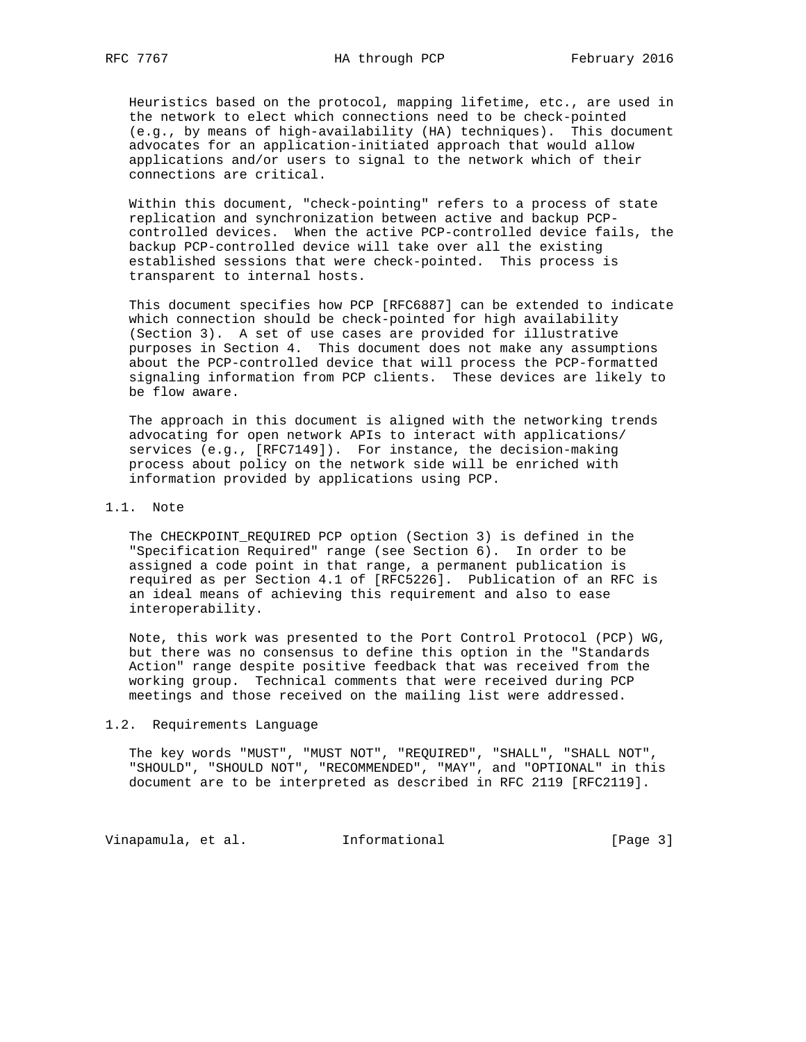Heuristics based on the protocol, mapping lifetime, etc., are used in the network to elect which connections need to be check-pointed (e.g., by means of high-availability (HA) techniques). This document advocates for an application-initiated approach that would allow applications and/or users to signal to the network which of their connections are critical.

 Within this document, "check-pointing" refers to a process of state replication and synchronization between active and backup PCP controlled devices. When the active PCP-controlled device fails, the backup PCP-controlled device will take over all the existing established sessions that were check-pointed. This process is transparent to internal hosts.

 This document specifies how PCP [RFC6887] can be extended to indicate which connection should be check-pointed for high availability (Section 3). A set of use cases are provided for illustrative purposes in Section 4. This document does not make any assumptions about the PCP-controlled device that will process the PCP-formatted signaling information from PCP clients. These devices are likely to be flow aware.

 The approach in this document is aligned with the networking trends advocating for open network APIs to interact with applications/ services (e.g., [RFC7149]). For instance, the decision-making process about policy on the network side will be enriched with information provided by applications using PCP.

### 1.1. Note

 The CHECKPOINT\_REQUIRED PCP option (Section 3) is defined in the "Specification Required" range (see Section 6). In order to be assigned a code point in that range, a permanent publication is required as per Section 4.1 of [RFC5226]. Publication of an RFC is an ideal means of achieving this requirement and also to ease interoperability.

 Note, this work was presented to the Port Control Protocol (PCP) WG, but there was no consensus to define this option in the "Standards Action" range despite positive feedback that was received from the working group. Technical comments that were received during PCP meetings and those received on the mailing list were addressed.

#### 1.2. Requirements Language

 The key words "MUST", "MUST NOT", "REQUIRED", "SHALL", "SHALL NOT", "SHOULD", "SHOULD NOT", "RECOMMENDED", "MAY", and "OPTIONAL" in this document are to be interpreted as described in RFC 2119 [RFC2119].

Vinapamula, et al. 1nformational 1999 [Page 3]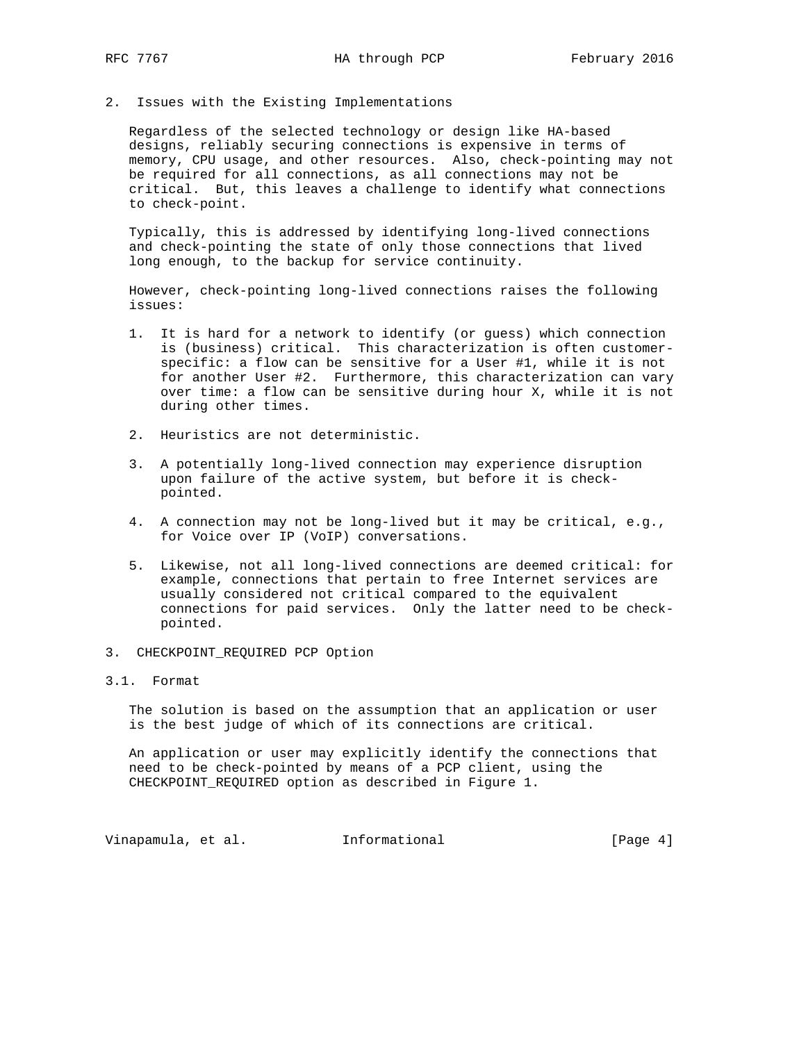2. Issues with the Existing Implementations

 Regardless of the selected technology or design like HA-based designs, reliably securing connections is expensive in terms of memory, CPU usage, and other resources. Also, check-pointing may not be required for all connections, as all connections may not be critical. But, this leaves a challenge to identify what connections to check-point.

 Typically, this is addressed by identifying long-lived connections and check-pointing the state of only those connections that lived long enough, to the backup for service continuity.

 However, check-pointing long-lived connections raises the following issues:

- 1. It is hard for a network to identify (or guess) which connection is (business) critical. This characterization is often customer specific: a flow can be sensitive for a User #1, while it is not for another User #2. Furthermore, this characterization can vary over time: a flow can be sensitive during hour X, while it is not during other times.
- 2. Heuristics are not deterministic.
- 3. A potentially long-lived connection may experience disruption upon failure of the active system, but before it is check pointed.
- 4. A connection may not be long-lived but it may be critical, e.g., for Voice over IP (VoIP) conversations.
- 5. Likewise, not all long-lived connections are deemed critical: for example, connections that pertain to free Internet services are usually considered not critical compared to the equivalent connections for paid services. Only the latter need to be check pointed.
- 3. CHECKPOINT\_REQUIRED PCP Option

### 3.1. Format

 The solution is based on the assumption that an application or user is the best judge of which of its connections are critical.

 An application or user may explicitly identify the connections that need to be check-pointed by means of a PCP client, using the CHECKPOINT\_REQUIRED option as described in Figure 1.

Vinapamula, et al. Informational [Page 4]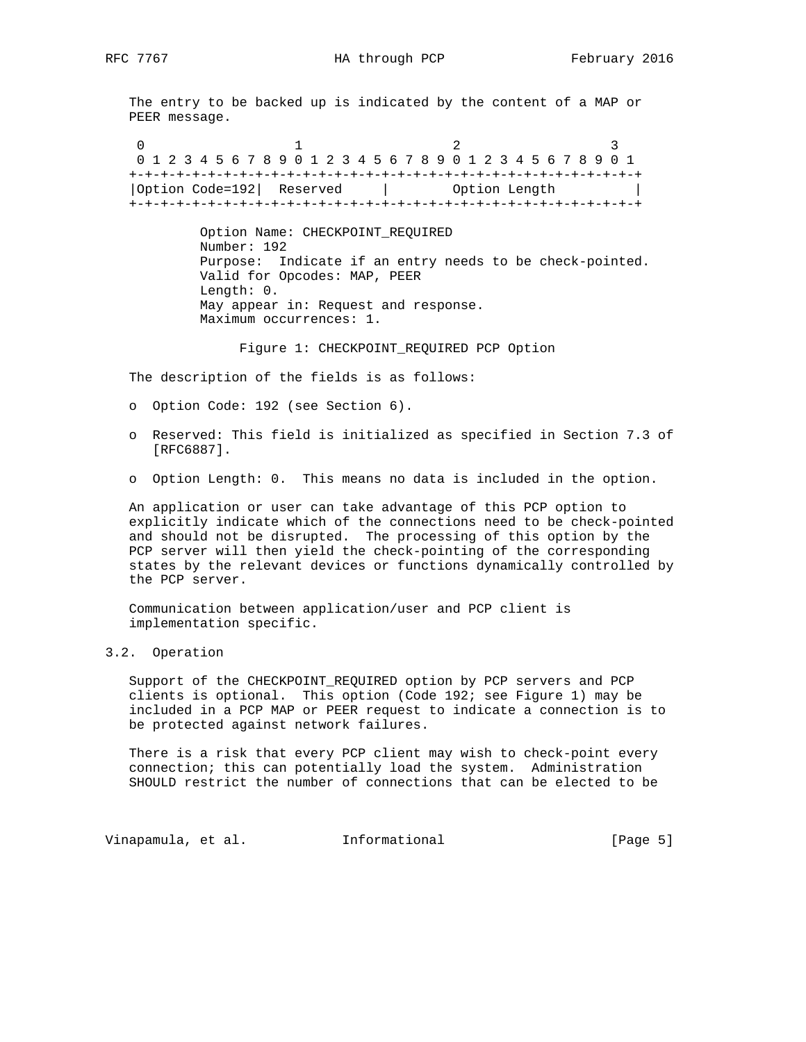The entry to be backed up is indicated by the content of a MAP or PEER message.

0  $1$  2 3 0 1 2 3 4 5 6 7 8 9 0 1 2 3 4 5 6 7 8 9 0 1 2 3 4 5 6 7 8 9 0 1 +-+-+-+-+-+-+-+-+-+-+-+-+-+-+-+-+-+-+-+-+-+-+-+-+-+-+-+-+-+-+-+-+ |Option Code=192| Reserved | Option Length +-+-+-+-+-+-+-+-+-+-+-+-+-+-+-+-+-+-+-+-+-+-+-+-+-+-+-+-+-+-+-+-+

> Option Name: CHECKPOINT\_REQUIRED Number: 192 Purpose: Indicate if an entry needs to be check-pointed. Valid for Opcodes: MAP, PEER Length: 0. May appear in: Request and response. Maximum occurrences: 1.

Figure 1: CHECKPOINT\_REQUIRED PCP Option

The description of the fields is as follows:

- o Option Code: 192 (see Section 6).
- o Reserved: This field is initialized as specified in Section 7.3 of [RFC6887].
- o Option Length: 0. This means no data is included in the option.

 An application or user can take advantage of this PCP option to explicitly indicate which of the connections need to be check-pointed and should not be disrupted. The processing of this option by the PCP server will then yield the check-pointing of the corresponding states by the relevant devices or functions dynamically controlled by the PCP server.

 Communication between application/user and PCP client is implementation specific.

## 3.2. Operation

 Support of the CHECKPOINT\_REQUIRED option by PCP servers and PCP clients is optional. This option (Code 192; see Figure 1) may be included in a PCP MAP or PEER request to indicate a connection is to be protected against network failures.

 There is a risk that every PCP client may wish to check-point every connection; this can potentially load the system. Administration SHOULD restrict the number of connections that can be elected to be

Vinapamula, et al. Informational [Page 5]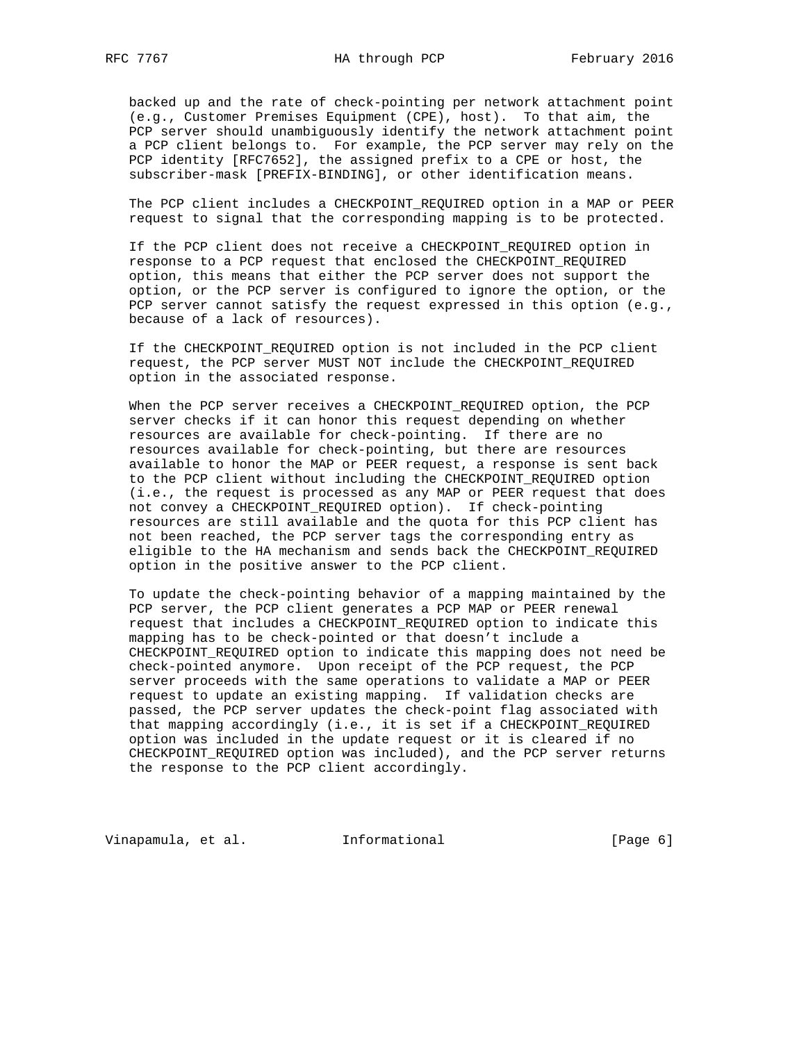backed up and the rate of check-pointing per network attachment point (e.g., Customer Premises Equipment (CPE), host). To that aim, the PCP server should unambiguously identify the network attachment point a PCP client belongs to. For example, the PCP server may rely on the PCP identity [RFC7652], the assigned prefix to a CPE or host, the subscriber-mask [PREFIX-BINDING], or other identification means.

 The PCP client includes a CHECKPOINT\_REQUIRED option in a MAP or PEER request to signal that the corresponding mapping is to be protected.

 If the PCP client does not receive a CHECKPOINT\_REQUIRED option in response to a PCP request that enclosed the CHECKPOINT\_REQUIRED option, this means that either the PCP server does not support the option, or the PCP server is configured to ignore the option, or the PCP server cannot satisfy the request expressed in this option (e.g., because of a lack of resources).

 If the CHECKPOINT\_REQUIRED option is not included in the PCP client request, the PCP server MUST NOT include the CHECKPOINT\_REQUIRED option in the associated response.

 When the PCP server receives a CHECKPOINT\_REQUIRED option, the PCP server checks if it can honor this request depending on whether resources are available for check-pointing. If there are no resources available for check-pointing, but there are resources available to honor the MAP or PEER request, a response is sent back to the PCP client without including the CHECKPOINT\_REQUIRED option (i.e., the request is processed as any MAP or PEER request that does not convey a CHECKPOINT\_REQUIRED option). If check-pointing resources are still available and the quota for this PCP client has not been reached, the PCP server tags the corresponding entry as eligible to the HA mechanism and sends back the CHECKPOINT\_REQUIRED option in the positive answer to the PCP client.

 To update the check-pointing behavior of a mapping maintained by the PCP server, the PCP client generates a PCP MAP or PEER renewal request that includes a CHECKPOINT\_REQUIRED option to indicate this mapping has to be check-pointed or that doesn't include a CHECKPOINT\_REQUIRED option to indicate this mapping does not need be check-pointed anymore. Upon receipt of the PCP request, the PCP server proceeds with the same operations to validate a MAP or PEER request to update an existing mapping. If validation checks are passed, the PCP server updates the check-point flag associated with that mapping accordingly (i.e., it is set if a CHECKPOINT\_REQUIRED option was included in the update request or it is cleared if no CHECKPOINT\_REQUIRED option was included), and the PCP server returns the response to the PCP client accordingly.

Vinapamula, et al. 1nformational 1999 [Page 6]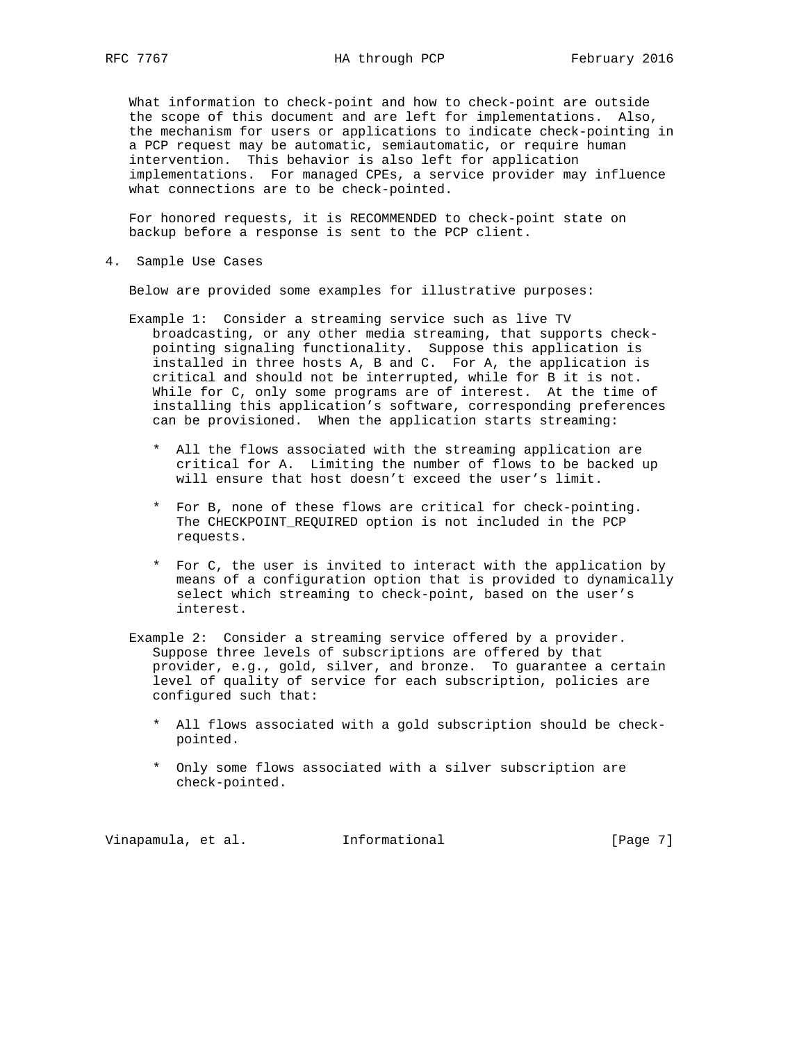What information to check-point and how to check-point are outside the scope of this document and are left for implementations. Also, the mechanism for users or applications to indicate check-pointing in a PCP request may be automatic, semiautomatic, or require human intervention. This behavior is also left for application implementations. For managed CPEs, a service provider may influence what connections are to be check-pointed.

 For honored requests, it is RECOMMENDED to check-point state on backup before a response is sent to the PCP client.

4. Sample Use Cases

Below are provided some examples for illustrative purposes:

- Example 1: Consider a streaming service such as live TV broadcasting, or any other media streaming, that supports check pointing signaling functionality. Suppose this application is installed in three hosts A, B and C. For A, the application is critical and should not be interrupted, while for B it is not. While for C, only some programs are of interest. At the time of installing this application's software, corresponding preferences can be provisioned. When the application starts streaming:
	- \* All the flows associated with the streaming application are critical for A. Limiting the number of flows to be backed up will ensure that host doesn't exceed the user's limit.
	- \* For B, none of these flows are critical for check-pointing. The CHECKPOINT\_REQUIRED option is not included in the PCP requests.
	- \* For C, the user is invited to interact with the application by means of a configuration option that is provided to dynamically select which streaming to check-point, based on the user's interest.
- Example 2: Consider a streaming service offered by a provider. Suppose three levels of subscriptions are offered by that provider, e.g., gold, silver, and bronze. To guarantee a certain level of quality of service for each subscription, policies are configured such that:
	- \* All flows associated with a gold subscription should be check pointed.
	- \* Only some flows associated with a silver subscription are check-pointed.

Vinapamula, et al. Informational [Page 7]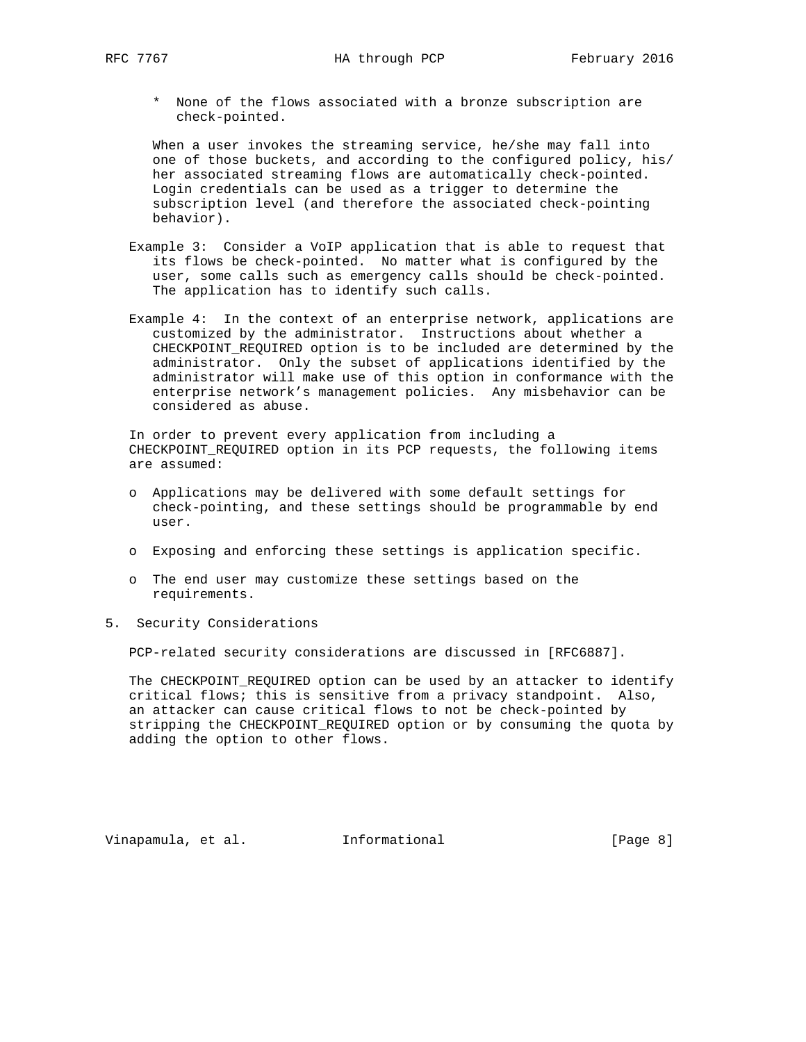\* None of the flows associated with a bronze subscription are check-pointed.

 When a user invokes the streaming service, he/she may fall into one of those buckets, and according to the configured policy, his/ her associated streaming flows are automatically check-pointed. Login credentials can be used as a trigger to determine the subscription level (and therefore the associated check-pointing behavior).

- Example 3: Consider a VoIP application that is able to request that its flows be check-pointed. No matter what is configured by the user, some calls such as emergency calls should be check-pointed. The application has to identify such calls.
- Example 4: In the context of an enterprise network, applications are customized by the administrator. Instructions about whether a CHECKPOINT\_REQUIRED option is to be included are determined by the administrator. Only the subset of applications identified by the administrator will make use of this option in conformance with the enterprise network's management policies. Any misbehavior can be considered as abuse.

 In order to prevent every application from including a CHECKPOINT\_REQUIRED option in its PCP requests, the following items are assumed:

- o Applications may be delivered with some default settings for check-pointing, and these settings should be programmable by end user.
- o Exposing and enforcing these settings is application specific.
- o The end user may customize these settings based on the requirements.
- 5. Security Considerations

PCP-related security considerations are discussed in [RFC6887].

 The CHECKPOINT\_REQUIRED option can be used by an attacker to identify critical flows; this is sensitive from a privacy standpoint. Also, an attacker can cause critical flows to not be check-pointed by stripping the CHECKPOINT\_REQUIRED option or by consuming the quota by adding the option to other flows.

Vinapamula, et al. Informational [Page 8]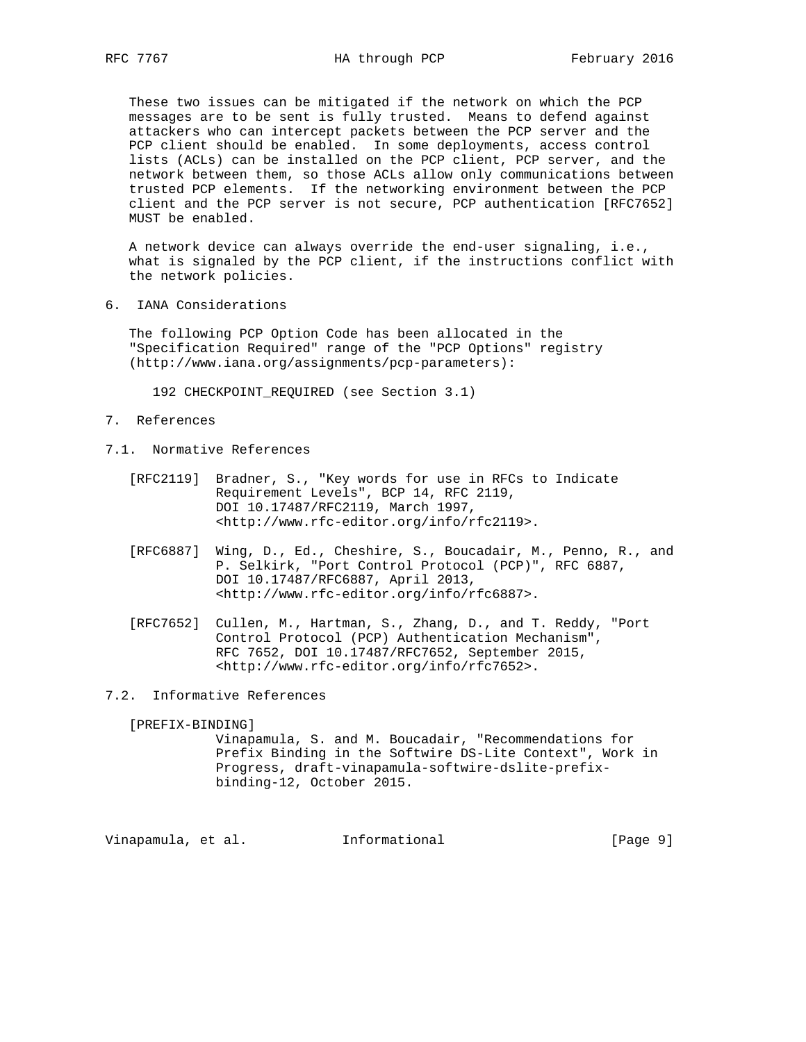These two issues can be mitigated if the network on which the PCP messages are to be sent is fully trusted. Means to defend against attackers who can intercept packets between the PCP server and the PCP client should be enabled. In some deployments, access control lists (ACLs) can be installed on the PCP client, PCP server, and the network between them, so those ACLs allow only communications between trusted PCP elements. If the networking environment between the PCP client and the PCP server is not secure, PCP authentication [RFC7652] MUST be enabled.

 A network device can always override the end-user signaling, i.e., what is signaled by the PCP client, if the instructions conflict with the network policies.

6. IANA Considerations

 The following PCP Option Code has been allocated in the "Specification Required" range of the "PCP Options" registry (http://www.iana.org/assignments/pcp-parameters):

192 CHECKPOINT\_REQUIRED (see Section 3.1)

- 7. References
- 7.1. Normative References
	- [RFC2119] Bradner, S., "Key words for use in RFCs to Indicate Requirement Levels", BCP 14, RFC 2119, DOI 10.17487/RFC2119, March 1997, <http://www.rfc-editor.org/info/rfc2119>.
	- [RFC6887] Wing, D., Ed., Cheshire, S., Boucadair, M., Penno, R., and P. Selkirk, "Port Control Protocol (PCP)", RFC 6887, DOI 10.17487/RFC6887, April 2013, <http://www.rfc-editor.org/info/rfc6887>.
	- [RFC7652] Cullen, M., Hartman, S., Zhang, D., and T. Reddy, "Port Control Protocol (PCP) Authentication Mechanism", RFC 7652, DOI 10.17487/RFC7652, September 2015, <http://www.rfc-editor.org/info/rfc7652>.
- 7.2. Informative References

[PREFIX-BINDING]

 Vinapamula, S. and M. Boucadair, "Recommendations for Prefix Binding in the Softwire DS-Lite Context", Work in Progress, draft-vinapamula-softwire-dslite-prefix binding-12, October 2015.

Vinapamula, et al. 1nformational 1999 [Page 9]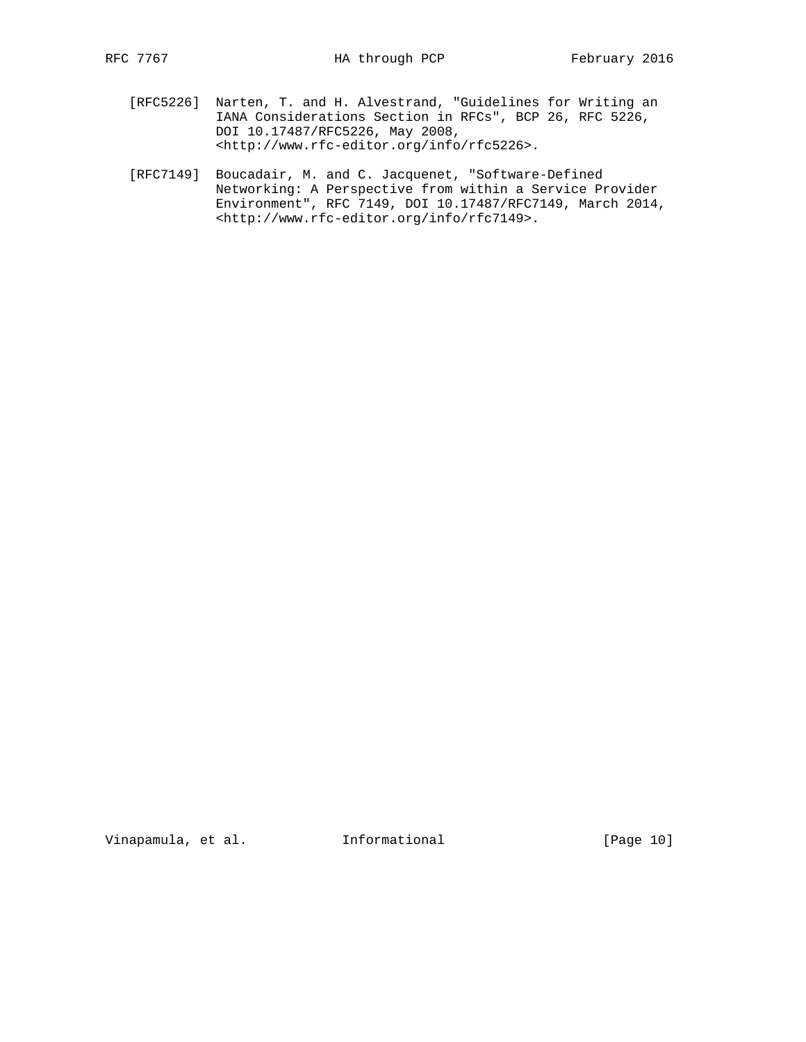- [RFC5226] Narten, T. and H. Alvestrand, "Guidelines for Writing an IANA Considerations Section in RFCs", BCP 26, RFC 5226, DOI 10.17487/RFC5226, May 2008, <http://www.rfc-editor.org/info/rfc5226>.
- [RFC7149] Boucadair, M. and C. Jacquenet, "Software-Defined Networking: A Perspective from within a Service Provider Environment", RFC 7149, DOI 10.17487/RFC7149, March 2014, <http://www.rfc-editor.org/info/rfc7149>.

Vinapamula, et al. 1nformational [Page 10]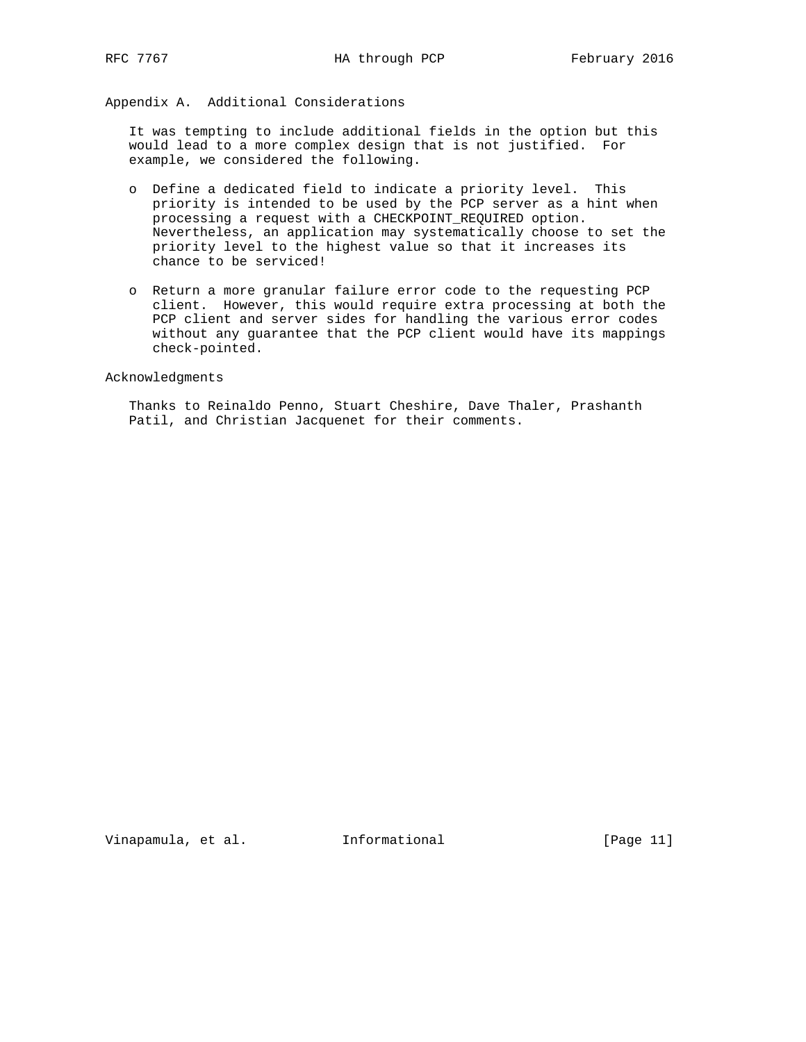Appendix A. Additional Considerations

 It was tempting to include additional fields in the option but this would lead to a more complex design that is not justified. For example, we considered the following.

- o Define a dedicated field to indicate a priority level. This priority is intended to be used by the PCP server as a hint when processing a request with a CHECKPOINT\_REQUIRED option. Nevertheless, an application may systematically choose to set the priority level to the highest value so that it increases its chance to be serviced!
- o Return a more granular failure error code to the requesting PCP client. However, this would require extra processing at both the PCP client and server sides for handling the various error codes without any guarantee that the PCP client would have its mappings check-pointed.

Acknowledgments

 Thanks to Reinaldo Penno, Stuart Cheshire, Dave Thaler, Prashanth Patil, and Christian Jacquenet for their comments.